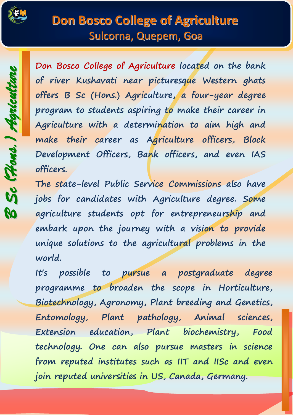

## **Don Bosco College of Agriculture** Sulcorna, Quepem, Goa

*BSc (Hons.) Agriculture*

**Don Bosco College of Agriculture located on the bank of river Kushavati near picturesque Western ghats offers B Sc (Hons.) Agriculture, a four-year degree program to students aspiring to make their career in Agriculture with a determination to aim high and make their career as Agriculture officers, Block Development Officers, Bank officers, and even IAS officers.** 

**The state-level Public Service Commissions also have jobs for candidates with Agriculture degree. Some agriculture students opt for entrepreneurship and embark upon the journey with a vision to provide unique solutions to the agricultural problems in the world.**

**It's possible to pursue a postgraduate degree programme to broaden the scope in Horticulture, Biotechnology, Agronomy, Plant breeding and Genetics, Entomology, Plant pathology, Animal sciences, Extension education, Plant biochemistry, Food technology. One can also pursue masters in science from reputed institutes such as IIT and IISc and even join reputed universities in US, Canada, Germany.**